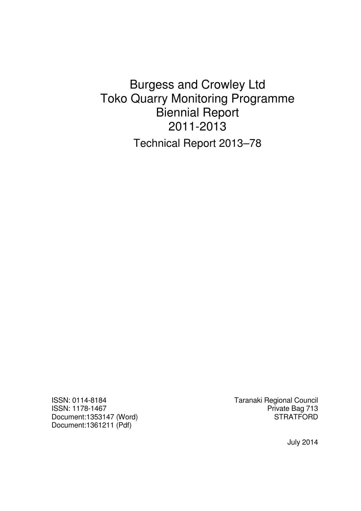# Burgess and Crowley Ltd Toko Quarry Monitoring Programme Biennial Report 2011-2013 Technical Report 2013–78

ISSN: 0114-8184 Taranaki Regional Council Document:1353147 (Word) Document:1361211 (Pdf)

Private Bag 713<br>STRATFORD

July 2014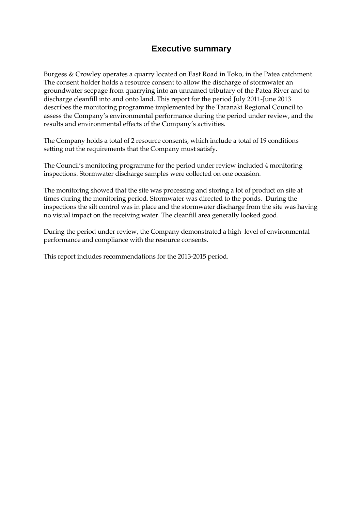# **Executive summary**

Burgess & Crowley operates a quarry located on East Road in Toko, in the Patea catchment. The consent holder holds a resource consent to allow the discharge of stormwater an groundwater seepage from quarrying into an unnamed tributary of the Patea River and to discharge cleanfill into and onto land. This report for the period July 2011-June 2013 describes the monitoring programme implemented by the Taranaki Regional Council to assess the Company's environmental performance during the period under review, and the results and environmental effects of the Company's activities.

The Company holds a total of 2 resource consents, which include a total of 19 conditions setting out the requirements that the Company must satisfy.

The Council's monitoring programme for the period under review included 4 monitoring inspections. Stormwater discharge samples were collected on one occasion.

The monitoring showed that the site was processing and storing a lot of product on site at times during the monitoring period. Stormwater was directed to the ponds. During the inspections the silt control was in place and the stormwater discharge from the site was having no visual impact on the receiving water. The cleanfill area generally looked good.

During the period under review, the Company demonstrated a high level of environmental performance and compliance with the resource consents.

This report includes recommendations for the 2013-2015 period.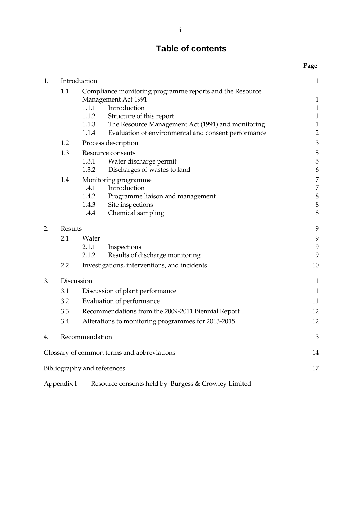# **Table of contents**

|    |              |                                                    |                                                                                        | Page           |
|----|--------------|----------------------------------------------------|----------------------------------------------------------------------------------------|----------------|
| 1. | Introduction |                                                    | $\mathbf{1}$                                                                           |                |
|    | 1.1          |                                                    | Compliance monitoring programme reports and the Resource<br><b>Management Act 1991</b> | $\mathbf{1}$   |
|    |              | 1.1.1                                              | Introduction                                                                           | $\mathbf{1}$   |
|    |              | 1.1.2                                              | Structure of this report                                                               | $\mathbf{1}$   |
|    |              | 1.1.3                                              | The Resource Management Act (1991) and monitoring                                      | $\mathbf{1}$   |
|    |              | 1.1.4                                              | Evaluation of environmental and consent performance                                    | $\overline{c}$ |
|    | 1.2          |                                                    | Process description                                                                    | 3              |
|    | 1.3          |                                                    | Resource consents                                                                      | 5              |
|    |              | 1.3.1                                              | Water discharge permit                                                                 | 5              |
|    |              | 1.3.2                                              | Discharges of wastes to land                                                           | 6              |
|    | 1.4          |                                                    | Monitoring programme                                                                   | 7              |
|    |              | 1.4.1                                              | Introduction                                                                           | 7              |
|    |              | 1.4.2                                              | Programme liaison and management                                                       | $\,$ $\,$      |
|    |              | 1.4.3<br>1.4.4                                     | Site inspections                                                                       | $\,$ $\,$<br>8 |
|    |              |                                                    | Chemical sampling                                                                      |                |
| 2. | Results      |                                                    |                                                                                        | 9              |
|    | 2.1          | Water                                              |                                                                                        | 9              |
|    |              | 2.1.1                                              | Inspections                                                                            | 9              |
|    |              | 2.1.2                                              | Results of discharge monitoring                                                        | 9              |
|    | 2.2          |                                                    | Investigations, interventions, and incidents                                           | 10             |
| 3. |              | Discussion                                         |                                                                                        | 11             |
|    | 3.1          | Discussion of plant performance                    |                                                                                        | 11             |
|    | 3.2          | Evaluation of performance                          |                                                                                        | 11             |
|    | 3.3          | Recommendations from the 2009-2011 Biennial Report |                                                                                        | 12             |
|    | 3.4          | Alterations to monitoring programmes for 2013-2015 |                                                                                        | 12             |
|    |              |                                                    |                                                                                        |                |
| 4. |              | Recommendation                                     |                                                                                        | 13             |
|    |              |                                                    | Glossary of common terms and abbreviations                                             | 14             |
|    |              | Bibliography and references                        |                                                                                        | 17             |
|    |              |                                                    |                                                                                        |                |

Appendix I Resource consents held by Burgess & Crowley Limited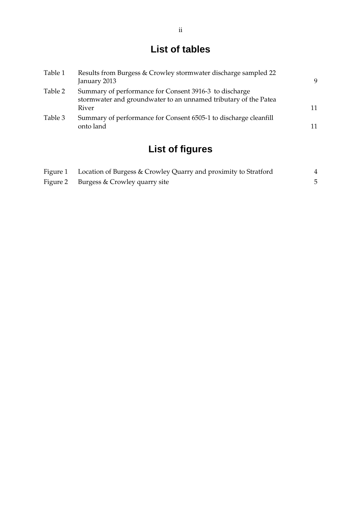# **List of tables**

| Table 1 | Results from Burgess & Crowley stormwater discharge sampled 22<br>January 2013                                            | 9  |
|---------|---------------------------------------------------------------------------------------------------------------------------|----|
| Table 2 | Summary of performance for Consent 3916-3 to discharge<br>stormwater and groundwater to an unnamed tributary of the Patea |    |
|         | River                                                                                                                     | 11 |
| Table 3 | Summary of performance for Consent 6505-1 to discharge cleanfill<br>onto land                                             | 11 |

# **List of figures**

| Figure 1 Location of Burgess & Crowley Quarry and proximity to Stratford |  |
|--------------------------------------------------------------------------|--|
| Figure 2 Burgess & Crowley quarry site                                   |  |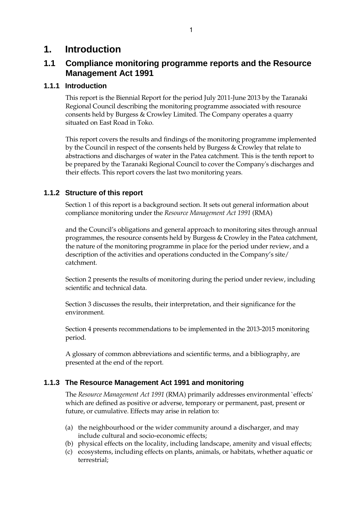## **1. Introduction**

## **1.1 Compliance monitoring programme reports and the Resource Management Act 1991**

## **1.1.1 Introduction**

This report is the Biennial Report for the period July 2011-June 2013 by the Taranaki Regional Council describing the monitoring programme associated with resource consents held by Burgess & Crowley Limited. The Company operates a quarry situated on East Road in Toko.

This report covers the results and findings of the monitoring programme implemented by the Council in respect of the consents held by Burgess & Crowley that relate to abstractions and discharges of water in the Patea catchment. This is the tenth report to be prepared by the Taranaki Regional Council to cover the Company's discharges and their effects. This report covers the last two monitoring years.

## **1.1.2 Structure of this report**

Section 1 of this report is a background section. It sets out general information about compliance monitoring under the *Resource Management Act 1991* (RMA)

and the Council's obligations and general approach to monitoring sites through annual programmes, the resource consents held by Burgess & Crowley in the Patea catchment, the nature of the monitoring programme in place for the period under review, and a description of the activities and operations conducted in the Company's site/ catchment.

Section 2 presents the results of monitoring during the period under review, including scientific and technical data.

Section 3 discusses the results, their interpretation, and their significance for the environment.

Section 4 presents recommendations to be implemented in the 2013-2015 monitoring period.

A glossary of common abbreviations and scientific terms, and a bibliography, are presented at the end of the report.

## **1.1.3 The Resource Management Act 1991 and monitoring**

The *Resource Management Act 1991* (RMA) primarily addresses environmental `effects' which are defined as positive or adverse, temporary or permanent, past, present or future, or cumulative. Effects may arise in relation to:

- (a) the neighbourhood or the wider community around a discharger, and may include cultural and socio-economic effects;
- (b) physical effects on the locality, including landscape, amenity and visual effects;
- (c) ecosystems, including effects on plants, animals, or habitats, whether aquatic or terrestrial;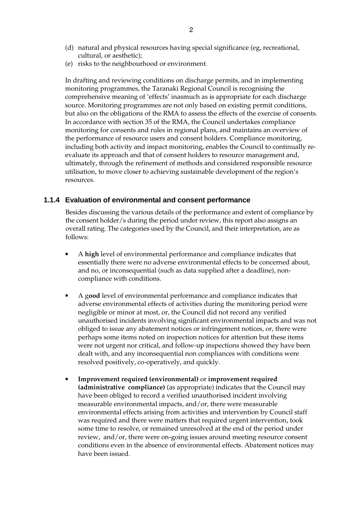- (d) natural and physical resources having special significance (eg, recreational, cultural, or aesthetic);
- (e) risks to the neighbourhood or environment.

In drafting and reviewing conditions on discharge permits, and in implementing monitoring programmes, the Taranaki Regional Council is recognising the comprehensive meaning of 'effects' inasmuch as is appropriate for each discharge source. Monitoring programmes are not only based on existing permit conditions, but also on the obligations of the RMA to assess the effects of the exercise of consents. In accordance with section 35 of the RMA, the Council undertakes compliance monitoring for consents and rules in regional plans, and maintains an overview of the performance of resource users and consent holders. Compliance monitoring, including both activity and impact monitoring, enables the Council to continually reevaluate its approach and that of consent holders to resource management and, ultimately, through the refinement of methods and considered responsible resource utilisation, to move closer to achieving sustainable development of the region's resources.

#### **1.1.4 Evaluation of environmental and consent performance**

Besides discussing the various details of the performance and extent of compliance by the consent holder/s during the period under review, this report also assigns an overall rating. The categories used by the Council, and their interpretation, are as follows:

- A **high** level of environmental performance and compliance indicates that essentially there were no adverse environmental effects to be concerned about, and no, or inconsequential (such as data supplied after a deadline), noncompliance with conditions.
- A g**ood** level of environmental performance and compliance indicates that adverse environmental effects of activities during the monitoring period were negligible or minor at most, or, the Council did not record any verified unauthorised incidents involving significant environmental impacts and was not obliged to issue any abatement notices or infringement notices, or, there were perhaps some items noted on inspection notices for attention but these items were not urgent nor critical, and follow-up inspections showed they have been dealt with, and any inconsequential non compliances with conditions were resolved positively, co-operatively, and quickly.
- **Improvement required (environmental)** or **improvement required (administrative compliance)** (as appropriate) indicates that the Council may have been obliged to record a verified unauthorised incident involving measurable environmental impacts, and/or, there were measurable environmental effects arising from activities and intervention by Council staff was required and there were matters that required urgent intervention, took some time to resolve, or remained unresolved at the end of the period under review, and/or, there were on-going issues around meeting resource consent conditions even in the absence of environmental effects. Abatement notices may have been issued.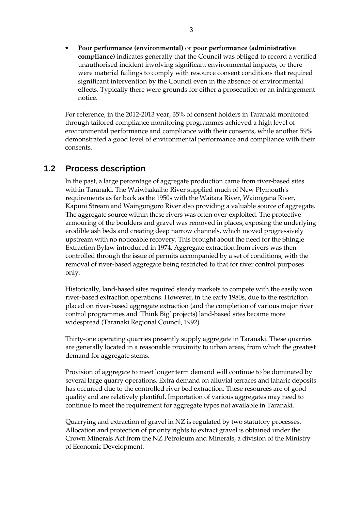• **Poor performance (environmental)** or **poor performance (administrative compliance)** indicates generally that the Council was obliged to record a verified unauthorised incident involving significant environmental impacts, or there were material failings to comply with resource consent conditions that required significant intervention by the Council even in the absence of environmental effects. Typically there were grounds for either a prosecution or an infringement notice.

For reference, in the 2012-2013 year, 35% of consent holders in Taranaki monitored through tailored compliance monitoring programmes achieved a high level of environmental performance and compliance with their consents, while another 59% demonstrated a good level of environmental performance and compliance with their consents.

## **1.2 Process description**

In the past, a large percentage of aggregate production came from river-based sites within Taranaki. The Waiwhakaiho River supplied much of New Plymouth's requirements as far back as the 1950s with the Waitara River, Waiongana River, Kapuni Stream and Waingongoro River also providing a valuable source of aggregate. The aggregate source within these rivers was often over-exploited. The protective armouring of the boulders and gravel was removed in places, exposing the underlying erodible ash beds and creating deep narrow channels, which moved progressively upstream with no noticeable recovery. This brought about the need for the Shingle Extraction Bylaw introduced in 1974. Aggregate extraction from rivers was then controlled through the issue of permits accompanied by a set of conditions, with the removal of river-based aggregate being restricted to that for river control purposes only.

 Historically, land-based sites required steady markets to compete with the easily won river-based extraction operations. However, in the early 1980s, due to the restriction placed on river-based aggregate extraction (and the completion of various major river control programmes and 'Think Big' projects) land-based sites became more widespread (Taranaki Regional Council, 1992).

 Thirty-one operating quarries presently supply aggregate in Taranaki. These quarries are generally located in a reasonable proximity to urban areas, from which the greatest demand for aggregate stems.

Provision of aggregate to meet longer term demand will continue to be dominated by several large quarry operations. Extra demand on alluvial terraces and laharic deposits has occurred due to the controlled river bed extraction. These resources are of good quality and are relatively plentiful. Importation of various aggregates may need to continue to meet the requirement for aggregate types not available in Taranaki.

 Quarrying and extraction of gravel in NZ is regulated by two statutory processes. Allocation and protection of priority rights to extract gravel is obtained under the Crown Minerals Act from the NZ Petroleum and Minerals, a division of the Ministry of Economic Development.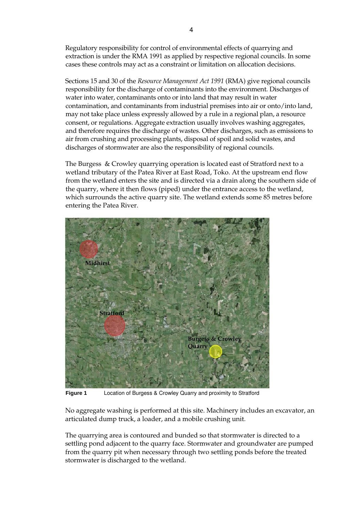Regulatory responsibility for control of environmental effects of quarrying and extraction is under the RMA 1991 as applied by respective regional councils. In some cases these controls may act as a constraint or limitation on allocation decisions.

 Sections 15 and 30 of the *Resource Management Act 1991* (RMA) give regional councils responsibility for the discharge of contaminants into the environment. Discharges of water into water, contaminants onto or into land that may result in water contamination, and contaminants from industrial premises into air or onto/into land, may not take place unless expressly allowed by a rule in a regional plan, a resource consent, or regulations. Aggregate extraction usually involves washing aggregates, and therefore requires the discharge of wastes. Other discharges, such as emissions to air from crushing and processing plants, disposal of spoil and solid wastes, and discharges of stormwater are also the responsibility of regional councils.

The Burgess & Crowley quarrying operation is located east of Stratford next to a wetland tributary of the Patea River at East Road, Toko. At the upstream end flow from the wetland enters the site and is directed via a drain along the southern side of the quarry, where it then flows (piped) under the entrance access to the wetland, which surrounds the active quarry site. The wetland extends some 85 metres before entering the Patea River.



**Figure 1** Location of Burgess & Crowley Quarry and proximity to Stratford

No aggregate washing is performed at this site. Machinery includes an excavator, an articulated dump truck, a loader, and a mobile crushing unit.

The quarrying area is contoured and bunded so that stormwater is directed to a settling pond adjacent to the quarry face. Stormwater and groundwater are pumped from the quarry pit when necessary through two settling ponds before the treated stormwater is discharged to the wetland.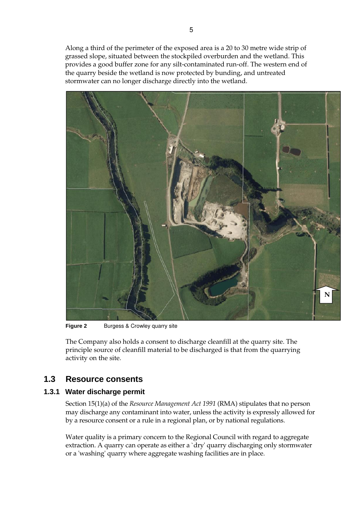Along a third of the perimeter of the exposed area is a 20 to 30 metre wide strip of grassed slope, situated between the stockpiled overburden and the wetland. This provides a good buffer zone for any silt-contaminated run-off. The western end of the quarry beside the wetland is now protected by bunding, and untreated stormwater can no longer discharge directly into the wetland.



**Figure 2** Burgess & Crowley quarry site

The Company also holds a consent to discharge cleanfill at the quarry site. The principle source of cleanfill material to be discharged is that from the quarrying activity on the site.

## **1.3 Resource consents**

## **1.3.1 Water discharge permit**

Section 15(1)(a) of the *Resource Management Act 1991* (RMA) stipulates that no person may discharge any contaminant into water, unless the activity is expressly allowed for by a resource consent or a rule in a regional plan, or by national regulations.

Water quality is a primary concern to the Regional Council with regard to aggregate extraction. A quarry can operate as either a `dry' quarry discharging only stormwater or a 'washing' quarry where aggregate washing facilities are in place.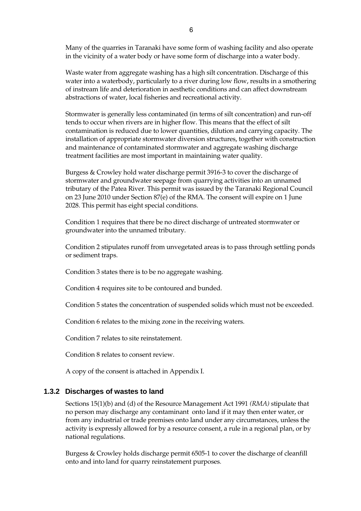Many of the quarries in Taranaki have some form of washing facility and also operate in the vicinity of a water body or have some form of discharge into a water body.

 Waste water from aggregate washing has a high silt concentration. Discharge of this water into a waterbody, particularly to a river during low flow, results in a smothering of instream life and deterioration in aesthetic conditions and can affect downstream abstractions of water, local fisheries and recreational activity.

Stormwater is generally less contaminated (in terms of silt concentration) and run-off tends to occur when rivers are in higher flow. This means that the effect of silt contamination is reduced due to lower quantities, dilution and carrying capacity. The installation of appropriate stormwater diversion structures, together with construction and maintenance of contaminated stormwater and aggregate washing discharge treatment facilities are most important in maintaining water quality.

Burgess & Crowley hold water discharge permit 3916-3 to cover the discharge of stormwater and groundwater seepage from quarrying activities into an unnamed tributary of the Patea River. This permit was issued by the Taranaki Regional Council on 23 June 2010 under Section 87(e) of the RMA. The consent will expire on 1 June 2028. This permit has eight special conditions.

Condition 1 requires that there be no direct discharge of untreated stormwater or groundwater into the unnamed tributary.

Condition 2 stipulates runoff from unvegetated areas is to pass through settling ponds or sediment traps.

Condition 3 states there is to be no aggregate washing.

Condition 4 requires site to be contoured and bunded.

Condition 5 states the concentration of suspended solids which must not be exceeded.

Condition 6 relates to the mixing zone in the receiving waters.

Condition 7 relates to site reinstatement.

Condition 8 relates to consent review.

A copy of the consent is attached in Appendix I.

#### **1.3.2 Discharges of wastes to land**

Sections 15(1)(b) and (d) of the Resource Management Act 1991 *(RMA)* stipulate that no person may discharge any contaminant onto land if it may then enter water, or from any industrial or trade premises onto land under any circumstances, unless the activity is expressly allowed for by a resource consent, a rule in a regional plan, or by national regulations.

Burgess & Crowley holds discharge permit 6505-1 to cover the discharge of cleanfill onto and into land for quarry reinstatement purposes*.*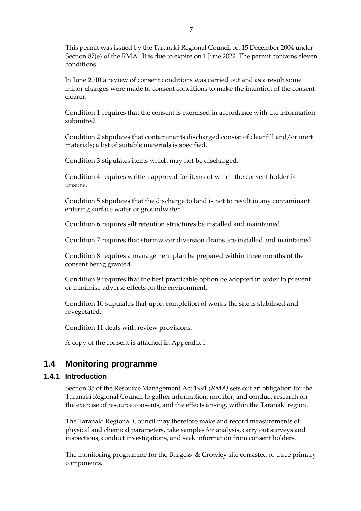This permit was issued by the Taranaki Regional Council on 15 December 2004 under Section 87(e) of the RMA. It is due to expire on 1 June 2022. The permit contains eleven conditions.

In June 2010 a review of consent conditions was carried out and as a result some minor changes were made to consent conditions to make the intention of the consent clearer.

Condition 1 requires that the consent is exercised in accordance with the information submitted.

Condition 2 stipulates that contaminants discharged consist of cleanfill and/or inert materials; a list of suitable materials is specified.

Condition 3 stipulates items which may not be discharged.

Condition 4 requires written approval for items of which the consent holder is unsure.

Condition 5 stipulates that the discharge to land is not to result in any contaminant entering surface water or groundwater.

Condition 6 requires silt retention structures be installed and maintained.

Condition 7 requires that stormwater diversion drains are installed and maintained.

Condition 8 requires a management plan be prepared within three months of the consent being granted.

Condition 9 requires that the best practicable option be adopted in order to prevent or minimise adverse effects on the environment.

Condition 10 stipulates that upon completion of works the site is stabilised and revegetated.

Condition 11 deals with review provisions.

A copy of the consent is attached in Appendix I.

## **1.4 Monitoring programme**

#### **1.4.1 Introduction**

Section 35 of the Resource Management Act 1991 *(RMA)* sets out an obligation for the Taranaki Regional Council to gather information, monitor, and conduct research on the exercise of resource consents, and the effects arising, within the Taranaki region.

The Taranaki Regional Council may therefore make and record measurements of physical and chemical parameters, take samples for analysis, carry out surveys and inspections, conduct investigations, and seek information from consent holders.

The monitoring programme for the Burgess & Crowley site consisted of three primary components.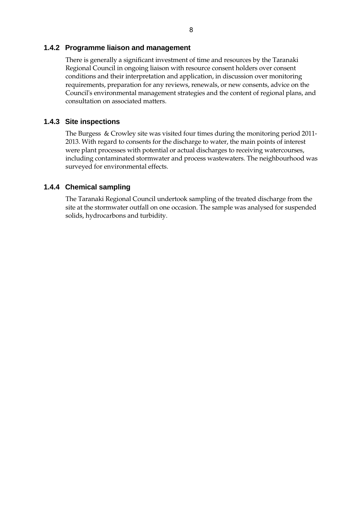#### **1.4.2 Programme liaison and management**

There is generally a significant investment of time and resources by the Taranaki Regional Council in ongoing liaison with resource consent holders over consent conditions and their interpretation and application, in discussion over monitoring requirements, preparation for any reviews, renewals, or new consents, advice on the Council's environmental management strategies and the content of regional plans, and consultation on associated matters.

#### **1.4.3 Site inspections**

The Burgess & Crowley site was visited four times during the monitoring period 2011- 2013. With regard to consents for the discharge to water, the main points of interest were plant processes with potential or actual discharges to receiving watercourses, including contaminated stormwater and process wastewaters. The neighbourhood was surveyed for environmental effects.

#### **1.4.4 Chemical sampling**

The Taranaki Regional Council undertook sampling of the treated discharge from the site at the stormwater outfall on one occasion. The sample was analysed for suspended solids, hydrocarbons and turbidity.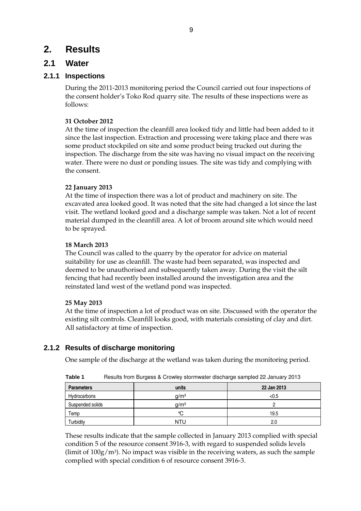# **2. Results**

## **2.1 Water**

## **2.1.1 Inspections**

During the 2011-2013 monitoring period the Council carried out four inspections of the consent holder's Toko Rod quarry site. The results of these inspections were as follows:

#### **31 October 2012**

At the time of inspection the cleanfill area looked tidy and little had been added to it since the last inspection. Extraction and processing were taking place and there was some product stockpiled on site and some product being trucked out during the inspection. The discharge from the site was having no visual impact on the receiving water. There were no dust or ponding issues. The site was tidy and complying with the consent.

#### **22 January 2013**

At the time of inspection there was a lot of product and machinery on site. The excavated area looked good. It was noted that the site had changed a lot since the last visit. The wetland looked good and a discharge sample was taken. Not a lot of recent material dumped in the cleanfill area. A lot of broom around site which would need to be sprayed.

#### **18 March 2013**

The Council was called to the quarry by the operator for advice on material suitability for use as cleanfill. The waste had been separated, was inspected and deemed to be unauthorised and subsequently taken away. During the visit the silt fencing that had recently been installed around the investigation area and the reinstated land west of the wetland pond was inspected.

#### **25 May 2013**

At the time of inspection a lot of product was on site. Discussed with the operator the existing silt controls. Cleanfill looks good, with materials consisting of clay and dirt. All satisfactory at time of inspection.

## **2.1.2 Results of discharge monitoring**

One sample of the discharge at the wetland was taken during the monitoring period.

| <b>Parameters</b> | units            | 22 Jan 2013 |
|-------------------|------------------|-------------|
| Hydrocarbons      | q/m <sup>3</sup> | < 0.5       |
| Suspended solids  | q/m <sup>3</sup> |             |
| Temp              | °C               | 19.5        |
| Turbidity         | NTU              | 2.0         |

**Table 1** Results from Burgess & Crowley stormwater discharge sampled 22 January 2013

These results indicate that the sample collected in January 2013 complied with special condition 5 of the resource consent 3916-3, with regard to suspended solids levels (limit of  $100g/m<sup>3</sup>$ ). No impact was visible in the receiving waters, as such the sample complied with special condition 6 of resource consent 3916-3.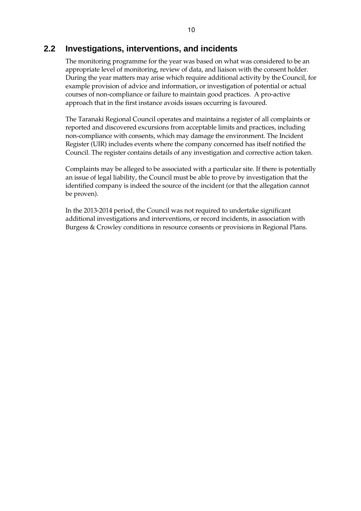## **2.2 Investigations, interventions, and incidents**

The monitoring programme for the year was based on what was considered to be an appropriate level of monitoring, review of data, and liaison with the consent holder. During the year matters may arise which require additional activity by the Council, for example provision of advice and information, or investigation of potential or actual courses of non-compliance or failure to maintain good practices. A pro-active approach that in the first instance avoids issues occurring is favoured.

The Taranaki Regional Council operates and maintains a register of all complaints or reported and discovered excursions from acceptable limits and practices, including non-compliance with consents, which may damage the environment. The Incident Register (UIR) includes events where the company concerned has itself notified the Council. The register contains details of any investigation and corrective action taken.

Complaints may be alleged to be associated with a particular site. If there is potentially an issue of legal liability, the Council must be able to prove by investigation that the identified company is indeed the source of the incident (or that the allegation cannot be proven).

In the 2013-2014 period, the Council was not required to undertake significant additional investigations and interventions, or record incidents, in association with Burgess & Crowley conditions in resource consents or provisions in Regional Plans.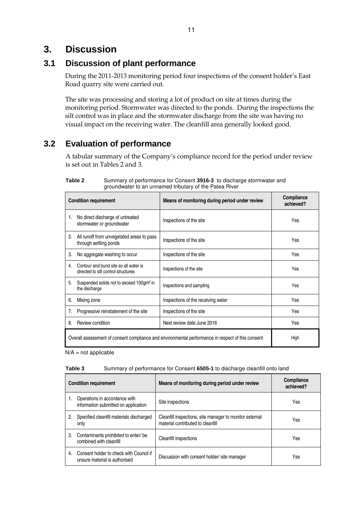# **3. Discussion**

## **3.1 Discussion of plant performance**

During the 2011-2013 monitoring period four inspections of the consent holder's East Road quarry site were carried out.

The site was processing and storing a lot of product on site at times during the monitoring period. Stormwater was directed to the ponds. During the inspections the silt control was in place and the stormwater discharge from the site was having no visual impact on the receiving water. The cleanfill area generally looked good.

# **3.2 Evaluation of performance**

A tabular summary of the Company's compliance record for the period under review is set out in Tables 2 and 3.

|                                                                                                   | <b>Condition requirement</b>                                                 | Means of monitoring during period under review | <b>Compliance</b><br>achieved? |
|---------------------------------------------------------------------------------------------------|------------------------------------------------------------------------------|------------------------------------------------|--------------------------------|
| 1.                                                                                                | No direct discharge of untreated<br>stormwater or groundwater                | Inspections of the site                        | Yes                            |
| 2.                                                                                                | All runoff from unvegetated areas to pass<br>through settling ponds          | Inspections of the site                        | Yes                            |
| 3.                                                                                                | No aggregate washing to occur                                                | Inspections of the site                        | Yes                            |
| 4 <sup>1</sup>                                                                                    | Contour and bund site so all water is<br>directed to silt control structures | Inspections of the site                        | Yes                            |
| 5.                                                                                                | Suspended solids not to exceed 100gm <sup>3</sup> in<br>the discharge        | Inspections and sampling                       | Yes                            |
| 6.                                                                                                | Mixing zone                                                                  | Inspections of the receiving water             | Yes                            |
| 7.                                                                                                | Progressive reinstatement of the site                                        | Inspections of the site                        | Yes                            |
| 8.                                                                                                | Review condition                                                             | Next review date June 2016                     | Yes                            |
| Overall assessment of consent compliance and environmental performance in respect of this consent |                                                                              |                                                | High                           |

#### **Table 2** Summary of performance for Consent **3916-3** to discharge stormwater and groundwater to an unnamed tributary of the Patea River

 $N/A$  = not applicable

| Table 3 |  |  | Summary of performance for Consent 6505-1 to discharge cleanfill onto land |
|---------|--|--|----------------------------------------------------------------------------|
|---------|--|--|----------------------------------------------------------------------------|

| <b>Condition requirement</b> |                                                                          | Means of monitoring during period under review                                               | Compliance<br>achieved? |
|------------------------------|--------------------------------------------------------------------------|----------------------------------------------------------------------------------------------|-------------------------|
|                              | Operations in accordance with<br>information submitted on application    | Site inspections                                                                             | Yes                     |
| 2.                           | Specified cleanfill materials discharged<br>only                         | Cleanfill inspections, site manager to monitor external<br>material contributed to cleanfill | Yes                     |
| 3.                           | Contaminants prohibited to enter/be<br>combined with cleanfill           | Cleanfill inspections                                                                        | Yes                     |
| 4.                           | Consent holder to check with Council if<br>unsure material is authorised | Discussion with consent holder/ site manager                                                 | Yes                     |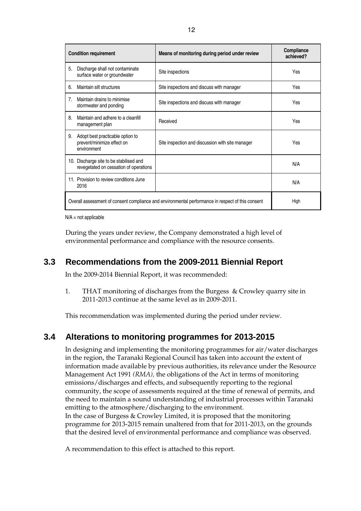| <b>Condition requirement</b>                                                                      |                                                                                   | Means of monitoring during period under review   | Compliance<br>achieved? |
|---------------------------------------------------------------------------------------------------|-----------------------------------------------------------------------------------|--------------------------------------------------|-------------------------|
| 5.                                                                                                | Discharge shall not contaminate<br>surface water or groundwater                   | Site inspections                                 | Yes                     |
| 6.                                                                                                | Maintain silt structures                                                          | Site inspections and discuss with manager        | Yes                     |
| 7 <sub>1</sub>                                                                                    | Maintain drains to minimise<br>stormwater and ponding                             | Site inspections and discuss with manager        | Yes                     |
| 8.                                                                                                | Maintain and adhere to a cleanfill<br>management plan                             | Received                                         | Yes                     |
| 9.                                                                                                | Adopt best practicable option to<br>prevent/minimize effect on<br>environment     | Site inspection and discussion with site manager | Yes                     |
|                                                                                                   | 10. Discharge site to be stabilised and<br>revegetated on cessation of operations |                                                  | N/A                     |
|                                                                                                   | 11. Provision to review conditions June<br>2016                                   |                                                  | N/A                     |
| Overall assessment of consent compliance and environmental performance in respect of this consent |                                                                                   |                                                  | High                    |

 $N/A$  = not applicable

During the years under review, the Company demonstrated a high level of environmental performance and compliance with the resource consents.

# **3.3 Recommendations from the 2009-2011 Biennial Report**

In the 2009-2014 Biennial Report, it was recommended:

1. THAT monitoring of discharges from the Burgess & Crowley quarry site in 2011-2013 continue at the same level as in 2009-2011.

This recommendation was implemented during the period under review.

# **3.4 Alterations to monitoring programmes for 2013-2015**

In designing and implementing the monitoring programmes for air/water discharges in the region, the Taranaki Regional Council has taken into account the extent of information made available by previous authorities, its relevance under the Resource Management Act 1991 *(RMA),* the obligations of the Act in terms of monitoring emissions/discharges and effects, and subsequently reporting to the regional community, the scope of assessments required at the time of renewal of permits, and the need to maintain a sound understanding of industrial processes within Taranaki emitting to the atmosphere/discharging to the environment. In the case of Burgess & Crowley Limited, it is proposed that the monitoring programme for 2013-2015 remain unaltered from that for 2011-2013, on the grounds that the desired level of environmental performance and compliance was observed.

A recommendation to this effect is attached to this report.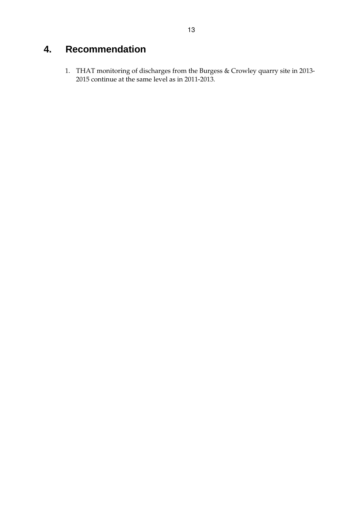# **4. Recommendation**

1. THAT monitoring of discharges from the Burgess & Crowley quarry site in 2013- 2015 continue at the same level as in 2011-2013.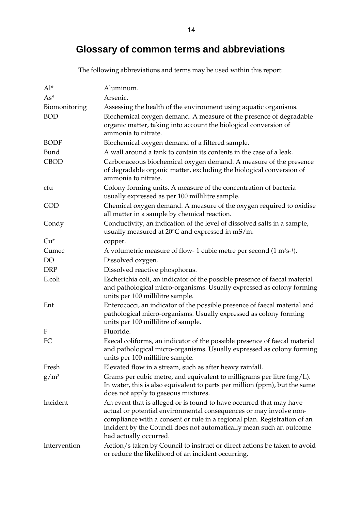# **Glossary of common terms and abbreviations**

| $Al^*$        | Aluminum.                                                                                                                                                                                                                                                                                                              |
|---------------|------------------------------------------------------------------------------------------------------------------------------------------------------------------------------------------------------------------------------------------------------------------------------------------------------------------------|
| $As*$         | Arsenic.                                                                                                                                                                                                                                                                                                               |
| Biomonitoring | Assessing the health of the environment using aquatic organisms.                                                                                                                                                                                                                                                       |
| <b>BOD</b>    | Biochemical oxygen demand. A measure of the presence of degradable<br>organic matter, taking into account the biological conversion of<br>ammonia to nitrate.                                                                                                                                                          |
| <b>BODF</b>   | Biochemical oxygen demand of a filtered sample.                                                                                                                                                                                                                                                                        |
| Bund          | A wall around a tank to contain its contents in the case of a leak.                                                                                                                                                                                                                                                    |
| <b>CBOD</b>   | Carbonaceous biochemical oxygen demand. A measure of the presence<br>of degradable organic matter, excluding the biological conversion of<br>ammonia to nitrate.                                                                                                                                                       |
| cfu           | Colony forming units. A measure of the concentration of bacteria<br>usually expressed as per 100 millilitre sample.                                                                                                                                                                                                    |
| <b>COD</b>    | Chemical oxygen demand. A measure of the oxygen required to oxidise<br>all matter in a sample by chemical reaction.                                                                                                                                                                                                    |
| Condy         | Conductivity, an indication of the level of dissolved salts in a sample,<br>usually measured at $20^{\circ}$ C and expressed in mS/m.                                                                                                                                                                                  |
| $Cu*$         | copper.                                                                                                                                                                                                                                                                                                                |
| Cumec         | A volumetric measure of flow- 1 cubic metre per second $(1 \text{ m}^3\text{s}^{-1})$ .                                                                                                                                                                                                                                |
| DO            | Dissolved oxygen.                                                                                                                                                                                                                                                                                                      |
| <b>DRP</b>    | Dissolved reactive phosphorus.                                                                                                                                                                                                                                                                                         |
| E.coli        | Escherichia coli, an indicator of the possible presence of faecal material<br>and pathological micro-organisms. Usually expressed as colony forming<br>units per 100 millilitre sample.                                                                                                                                |
| Ent           | Enterococci, an indicator of the possible presence of faecal material and<br>pathological micro-organisms. Usually expressed as colony forming<br>units per 100 millilitre of sample.                                                                                                                                  |
| F             | Fluoride.                                                                                                                                                                                                                                                                                                              |
| FC            | Faecal coliforms, an indicator of the possible presence of faecal material<br>and pathological micro-organisms. Usually expressed as colony forming<br>units per 100 millilitre sample.                                                                                                                                |
| Fresh         | Elevated flow in a stream, such as after heavy rainfall.                                                                                                                                                                                                                                                               |
| $g/m^3$       | Grams per cubic metre, and equivalent to milligrams per litre $(mg/L)$ .<br>In water, this is also equivalent to parts per million (ppm), but the same<br>does not apply to gaseous mixtures.                                                                                                                          |
| Incident      | An event that is alleged or is found to have occurred that may have<br>actual or potential environmental consequences or may involve non-<br>compliance with a consent or rule in a regional plan. Registration of an<br>incident by the Council does not automatically mean such an outcome<br>had actually occurred. |
| Intervention  | Action/s taken by Council to instruct or direct actions be taken to avoid<br>or reduce the likelihood of an incident occurring.                                                                                                                                                                                        |

The following abbreviations and terms may be used within this report: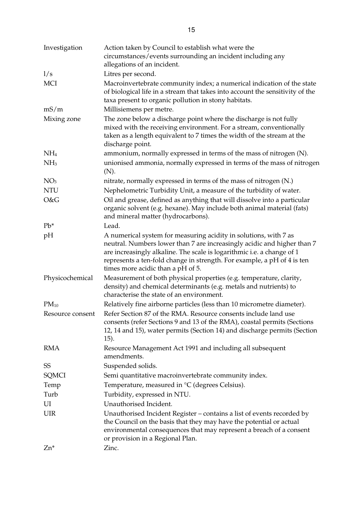| Investigation    | Action taken by Council to establish what were the<br>circumstances/events surrounding an incident including any<br>allegations of an incident.                                                                                                                                                                                       |
|------------------|---------------------------------------------------------------------------------------------------------------------------------------------------------------------------------------------------------------------------------------------------------------------------------------------------------------------------------------|
| 1/s              | Litres per second.                                                                                                                                                                                                                                                                                                                    |
| <b>MCI</b>       | Macroinvertebrate community index; a numerical indication of the state<br>of biological life in a stream that takes into account the sensitivity of the<br>taxa present to organic pollution in stony habitats.                                                                                                                       |
| mS/m             | Millisiemens per metre.                                                                                                                                                                                                                                                                                                               |
| Mixing zone      | The zone below a discharge point where the discharge is not fully<br>mixed with the receiving environment. For a stream, conventionally<br>taken as a length equivalent to 7 times the width of the stream at the<br>discharge point.                                                                                                 |
| NH <sub>4</sub>  | ammonium, normally expressed in terms of the mass of nitrogen (N).                                                                                                                                                                                                                                                                    |
| NH <sub>3</sub>  | unionised ammonia, normally expressed in terms of the mass of nitrogen<br>(N).                                                                                                                                                                                                                                                        |
| NO <sub>3</sub>  | nitrate, normally expressed in terms of the mass of nitrogen (N.)                                                                                                                                                                                                                                                                     |
| <b>NTU</b>       | Nephelometric Turbidity Unit, a measure of the turbidity of water.                                                                                                                                                                                                                                                                    |
| O&G              | Oil and grease, defined as anything that will dissolve into a particular<br>organic solvent (e.g. hexane). May include both animal material (fats)<br>and mineral matter (hydrocarbons).                                                                                                                                              |
| $Pb*$            | Lead.                                                                                                                                                                                                                                                                                                                                 |
| pH               | A numerical system for measuring acidity in solutions, with 7 as<br>neutral. Numbers lower than 7 are increasingly acidic and higher than 7<br>are increasingly alkaline. The scale is logarithmic i.e. a change of 1<br>represents a ten-fold change in strength. For example, a pH of 4 is ten<br>times more acidic than a pH of 5. |
| Physicochemical  | Measurement of both physical properties (e.g. temperature, clarity,<br>density) and chemical determinants (e.g. metals and nutrients) to<br>characterise the state of an environment.                                                                                                                                                 |
| $PM_{10}$        | Relatively fine airborne particles (less than 10 micrometre diameter).                                                                                                                                                                                                                                                                |
| Resource consent | Refer Section 87 of the RMA. Resource consents include land use<br>consents (refer Sections 9 and 13 of the RMA), coastal permits (Sections<br>12, 14 and 15), water permits (Section 14) and discharge permits (Section<br>15).                                                                                                      |
| <b>RMA</b>       | Resource Management Act 1991 and including all subsequent<br>amendments.                                                                                                                                                                                                                                                              |
| SS               | Suspended solids.                                                                                                                                                                                                                                                                                                                     |
| SQMCI            | Semi quantitative macroinvertebrate community index.                                                                                                                                                                                                                                                                                  |
| Temp             | Temperature, measured in °C (degrees Celsius).                                                                                                                                                                                                                                                                                        |
| Turb             | Turbidity, expressed in NTU.                                                                                                                                                                                                                                                                                                          |
| UI               | Unauthorised Incident.                                                                                                                                                                                                                                                                                                                |
| <b>UIR</b>       | Unauthorised Incident Register - contains a list of events recorded by<br>the Council on the basis that they may have the potential or actual<br>environmental consequences that may represent a breach of a consent<br>or provision in a Regional Plan.                                                                              |
| $Zn^*$           | Zinc.                                                                                                                                                                                                                                                                                                                                 |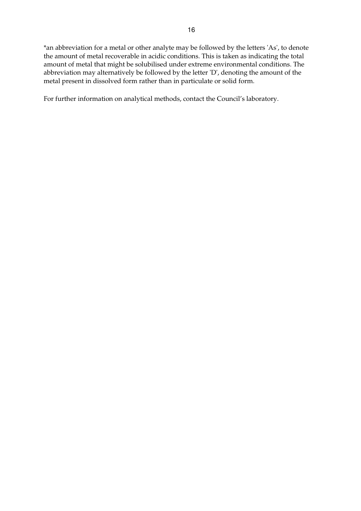\*an abbreviation for a metal or other analyte may be followed by the letters 'As', to denote the amount of metal recoverable in acidic conditions. This is taken as indicating the total amount of metal that might be solubilised under extreme environmental conditions. The abbreviation may alternatively be followed by the letter 'D', denoting the amount of the metal present in dissolved form rather than in particulate or solid form.

For further information on analytical methods, contact the Council's laboratory.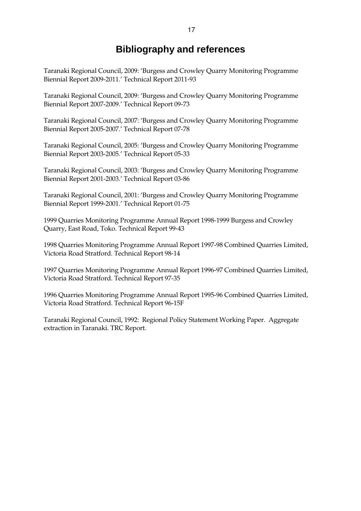# **Bibliography and references**

Taranaki Regional Council, 2009: 'Burgess and Crowley Quarry Monitoring Programme Biennial Report 2009-2011.' Technical Report 2011-93

Taranaki Regional Council, 2009: 'Burgess and Crowley Quarry Monitoring Programme Biennial Report 2007-2009.' Technical Report 09-73

Taranaki Regional Council, 2007: 'Burgess and Crowley Quarry Monitoring Programme Biennial Report 2005-2007.' Technical Report 07-78

Taranaki Regional Council, 2005: 'Burgess and Crowley Quarry Monitoring Programme Biennial Report 2003-2005.' Technical Report 05-33

Taranaki Regional Council, 2003: 'Burgess and Crowley Quarry Monitoring Programme Biennial Report 2001-2003.' Technical Report 03-86

Taranaki Regional Council, 2001: 'Burgess and Crowley Quarry Monitoring Programme Biennial Report 1999-2001.' Technical Report 01-75

1999 Quarries Monitoring Programme Annual Report 1998-1999 Burgess and Crowley Quarry, East Road, Toko. Technical Report 99-43

1998 Quarries Monitoring Programme Annual Report 1997-98 Combined Quarries Limited, Victoria Road Stratford. Technical Report 98-14

1997 Quarries Monitoring Programme Annual Report 1996-97 Combined Quarries Limited, Victoria Road Stratford. Technical Report 97-35

1996 Quarries Monitoring Programme Annual Report 1995-96 Combined Quarries Limited, Victoria Road Stratford. Technical Report 96-15F

Taranaki Regional Council, 1992: Regional Policy Statement Working Paper. Aggregate extraction in Taranaki. TRC Report.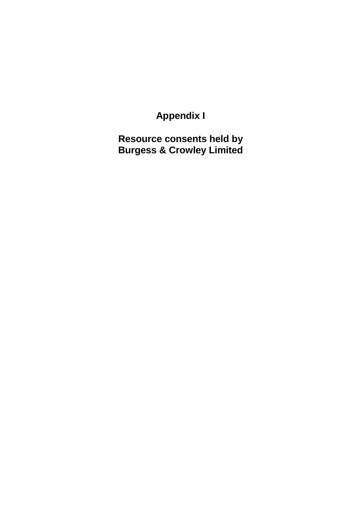**Appendix I** 

**Resource consents held by Burgess & Crowley Limited**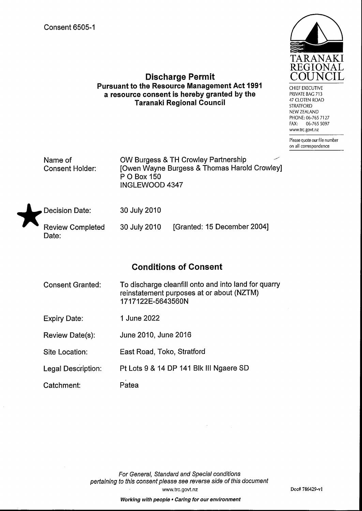

## **Discharge Permit Pursuant to the Resource Management Act 1991** a resource consent is hereby granted by the **Taranaki Regional Council**

CHIEF EXECUTIVE PRIVATE BAG 713 47 CLOTEN ROAD **STRATFORD** NEW ZEALAND PHONE: 06-765 7127 06-765 5097  $FAX:$ www.trc.govt.nz

Please quote our file number on all correspondence

Name of **Consent Holder:** 

OW Burgess & TH Crowley Partnership **[Owen Wayne Burgess & Thomas Harold Crowley]** P O Box 150 INGLEWOOD 4347



30 July 2010

**Review Completed** Date:

30 July 2010

[Granted: 15 December 2004]

# **Conditions of Consent**

To discharge cleanfill onto and into land for quarry **Consent Granted:** reinstatement purposes at or about (NZTM) 1717122E-5643560N

- 1 June 2022 **Expiry Date:**
- June 2010, June 2016 Review Date(s):
- Site Location: East Road, Toko, Stratford
- Pt Lots 9 & 14 DP 141 Blk III Ngaere SD Legal Description:
- Patea Catchment: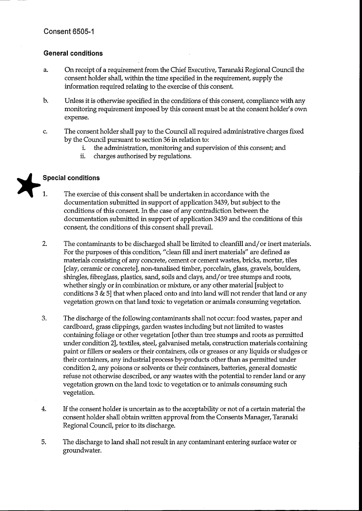## **General conditions**

- On receipt of a requirement from the Chief Executive, Taranaki Regional Council the a. consent holder shall, within the time specified in the requirement, supply the information required relating to the exercise of this consent.
- $\mathbf{b}$ . Unless it is otherwise specified in the conditions of this consent, compliance with any monitoring requirement imposed by this consent must be at the consent holder's own expense.
- $\mathbf{C}$ The consent holder shall pay to the Council all required administrative charges fixed by the Council pursuant to section 36 in relation to:
	- the administration, monitoring and supervision of this consent; and i.
	- ii. charges authorised by regulations.

## **Special conditions**

- $\mathbf{1}$ . The exercise of this consent shall be undertaken in accordance with the documentation submitted in support of application 3439, but subject to the conditions of this consent. In the case of any contradiction between the documentation submitted in support of application 3439 and the conditions of this consent, the conditions of this consent shall prevail.
- $2.$ The contaminants to be discharged shall be limited to cleanfill and/or inert materials. For the purposes of this condition, "clean fill and inert materials" are defined as materials consisting of any concrete, cement or cement wastes, bricks, mortar, tiles [clay, ceramic or concrete], non-tanalised timber, porcelain, glass, gravels, boulders, shingles, fibreglass, plastics, sand, soils and clays, and/or tree stumps and roots, whether singly or in combination or mixture, or any other material [subject to conditions 3 & 5] that when placed onto and into land will not render that land or any vegetation grown on that land toxic to vegetation or animals consuming vegetation.
- 3. The discharge of the following contaminants shall not occur: food wastes, paper and cardboard, grass clippings, garden wastes including but not limited to wastes containing foliage or other vegetation [other than tree stumps and roots as permitted under condition 2], textiles, steel, galvanised metals, construction materials containing paint or fillers or sealers or their containers, oils or greases or any liquids or sludges or their containers, any industrial process by-products other than as permitted under condition 2, any poisons or solvents or their containers, batteries, general domestic refuse not otherwise described, or any wastes with the potential to render land or any vegetation grown on the land toxic to vegetation or to animals consuming such vegetation.
- 4. If the consent holder is uncertain as to the acceptability or not of a certain material the consent holder shall obtain written approval from the Consents Manager, Taranaki Regional Council, prior to its discharge.
- 5. The discharge to land shall not result in any contaminant entering surface water or groundwater.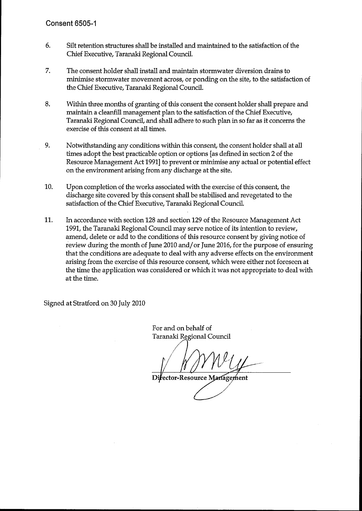- 6. Silt retention structures shall be installed and maintained to the satisfaction of the Chief Executive, Taranaki Regional Council.
- 7. The consent holder shall install and maintain stormwater diversion drains to minimise stormwater movement across, or ponding on the site, to the satisfaction of the Chief Executive, Taranaki Regional Council.
- 8. Within three months of granting of this consent the consent holder shall prepare and maintain a cleanfill management plan to the satisfaction of the Chief Executive, Taranaki Regional Council, and shall adhere to such plan in so far as it concerns the exercise of this consent at all times.
- 9. Notwithstanding any conditions within this consent, the consent holder shall at all times adopt the best practicable option or options [as defined in section 2 of the Resource Management Act 1991] to prevent or minimise any actual or potential effect on the environment arising from any discharge at the site.
- 10. Upon completion of the works associated with the exercise of this consent, the discharge site covered by this consent shall be stabilised and revegetated to the satisfaction of the Chief Executive, Taranaki Regional Council.
- 11. In accordance with section 128 and section 129 of the Resource Management Act 1991, the Taranaki Regional Council may serve notice of its intention to review, amend, delete or add to the conditions of this resource consent by giving notice of review during the month of June 2010 and/or June 2016, for the purpose of ensuring that the conditions are adequate to deal with any adverse effects on the environment arising from the exercise of this resource consent, which were either not foreseen at the time the application was considered or which it was not appropriate to deal with at the time.

Signed at Stratford on 30 July 2010

For and on behalf of Taranaki Regional Council

Director-Resource Management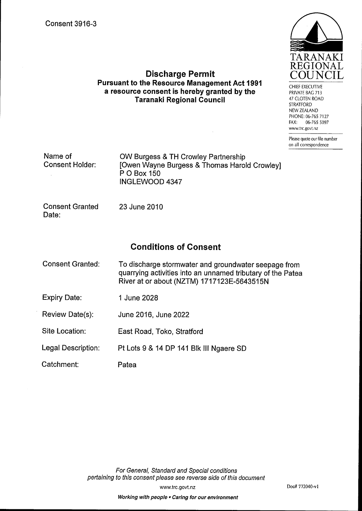

CHIEF EXECUTIVE PRIVATE BAG 713 47 CLOTEN ROAD **STRATFORD** NEW ZEALAND PHONE: 06-765 7127 06-765 5097 FAX: www.trc.govt.nz

Please quote our file number on all correspondence

## **Discharge Permit Pursuant to the Resource Management Act 1991** a resource consent is hereby granted by the **Taranaki Regional Council**

| Name of         | OW Burgess & TH Crowley Partnership          |
|-----------------|----------------------------------------------|
| Consent Holder: | [Owen Wayne Burgess & Thomas Harold Crowley] |
|                 | P O Box 150                                  |
|                 | INGLEWOOD 4347                               |

**Consent Granted** Date:

23 June 2010

# **Conditions of Consent**

- **Consent Granted:** To discharge stormwater and groundwater seepage from quarrying activities into an unnamed tributary of the Patea River at or about (NZTM) 1717123E-5643515N
- **Expiry Date:** 1 June 2028
- Review Date(s): June 2016, June 2022
- Site Location: East Road, Toko, Stratford
- **Legal Description:** Pt Lots 9 & 14 DP 141 Blk III Ngaere SD
- Catchment: Patea

For General, Standard and Special conditions pertaining to this consent please see reverse side of this document

www.trc.govt.nz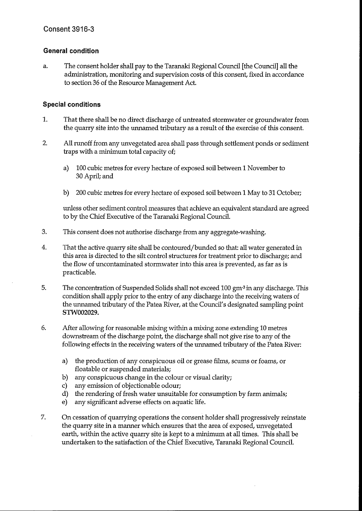## **General condition**

The consent holder shall pay to the Taranaki Regional Council [the Council] all the a. administration, monitoring and supervision costs of this consent, fixed in accordance to section 36 of the Resource Management Act.

## **Special conditions**

- 1. That there shall be no direct discharge of untreated stormwater or groundwater from the quarry site into the unnamed tributary as a result of the exercise of this consent.
- $2.$ All runoff from any unvegetated area shall pass through settlement ponds or sediment traps with a minimum total capacity of;
	- 100 cubic metres for every hectare of exposed soil between 1 November to a) 30 April; and
	- $b)$ 200 cubic metres for every hectare of exposed soil between 1 May to 31 October;

unless other sediment control measures that achieve an equivalent standard are agreed to by the Chief Executive of the Taranaki Regional Council.

- 3. This consent does not authorise discharge from any aggregate-washing.
- $\overline{4}$ . That the active quarry site shall be contoured/bunded so that: all water generated in this area is directed to the silt control structures for treatment prior to discharge; and the flow of uncontaminated stormwater into this area is prevented, as far as is practicable.
- 5. The concentration of Suspended Solids shall not exceed 100 gm<sup>3</sup> in any discharge. This condition shall apply prior to the entry of any discharge into the receiving waters of the unnamed tributary of the Patea River, at the Council's designated sampling point STW002029.
- 6. After allowing for reasonable mixing within a mixing zone extending 10 metres downstream of the discharge point, the discharge shall not give rise to any of the following effects in the receiving waters of the unnamed tributary of the Patea River:
	- the production of any conspicuous oil or grease films, scums or foams, or a) floatable or suspended materials;
	- b) any conspicuous change in the colour or visual clarity;
	- c) any emission of objectionable odour;
	- d) the rendering of fresh water unsuitable for consumption by farm animals;
	- any significant adverse effects on aquatic life.  $e)$
- 7. On cessation of quarrying operations the consent holder shall progressively reinstate the quarry site in a manner which ensures that the area of exposed, unvegetated earth, within the active quarry site is kept to a minimum at all times. This shall be undertaken to the satisfaction of the Chief Executive, Taranaki Regional Council.